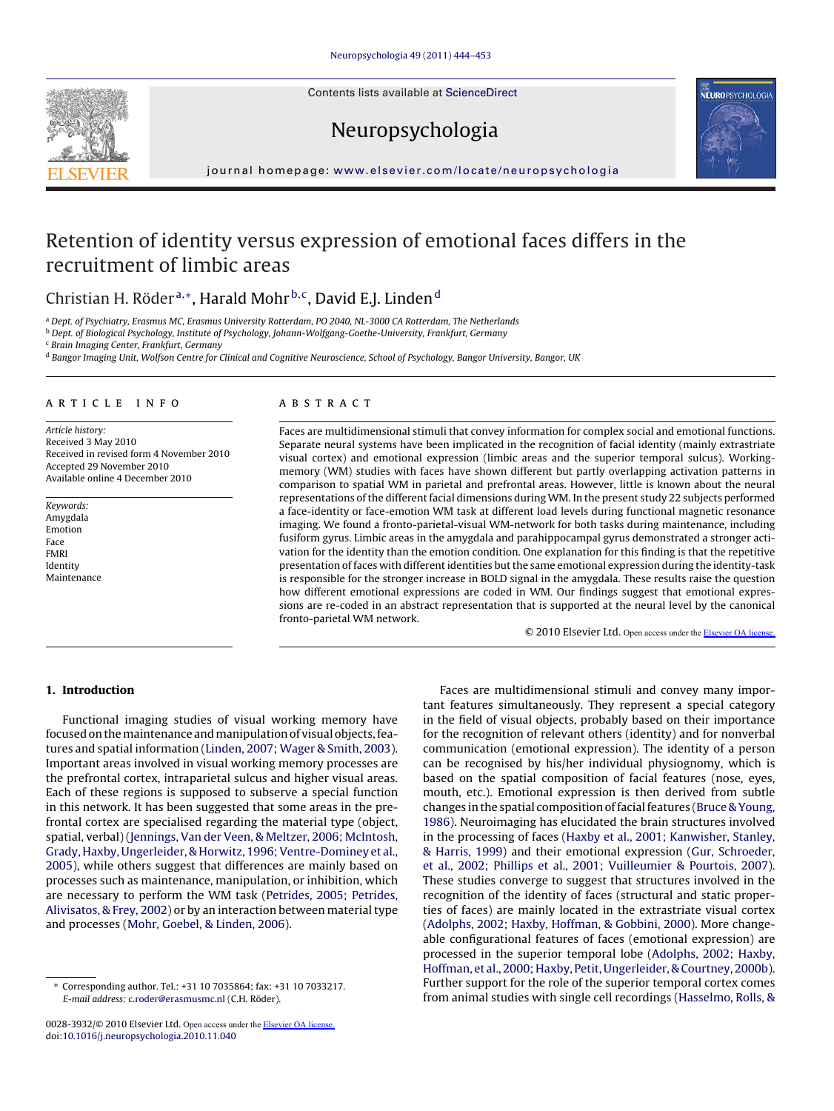Contents lists available at [ScienceDirect](http://www.sciencedirect.com/science/journal/00283932)





# Neuropsychologia

journal homepage: [www.elsevier.com/locate/neuropsychologia](http://www.elsevier.com/locate/neuropsychologia)

# Retention of identity versus expression of emotional faces differs in the recruitment of limbic areas

### Christian H. Röder<sup>a,∗</sup>, Harald Mohr<sup>b,c</sup>, David E.J. Linden<sup>d</sup>

<sup>a</sup> Dept. of Psychiatry, Erasmus MC, Erasmus University Rotterdam, PO 2040, NL-3000 CA Rotterdam, The Netherlands

b Dept. of Biological Psychology, Institute of Psychology, Johann-Wolfgang-Goethe-University, Frankfurt, Germany

<sup>c</sup> Brain Imaging Center, Frankfurt, Germany

d Bangor Imaging Unit, Wolfson Centre for Clinical and Cognitive Neuroscience, School of Psychology, Bangor University, Bangor, UK

#### article info

Article history: Received 3 May 2010 Received in revised form 4 November 2010 Accepted 29 November 2010 Available online 4 December 2010

Keywords: Amygdala Emotion Face FMRI Identity Maintenance

#### ABSTRACT

Faces are multidimensional stimuli that convey information for complex social and emotional functions. Separate neural systems have been implicated in the recognition of facial identity (mainly extrastriate visual cortex) and emotional expression (limbic areas and the superior temporal sulcus). Workingmemory (WM) studies with faces have shown different but partly overlapping activation patterns in comparison to spatial WM in parietal and prefrontal areas. However, little is known about the neural representations of the different facial dimensions during WM. In the present study 22 subjects performed a face-identity or face-emotion WM task at different load levels during functional magnetic resonance imaging. We found a fronto-parietal-visual WM-network for both tasks during maintenance, including fusiform gyrus. Limbic areas in the amygdala and parahippocampal gyrus demonstrated a stronger activation for the identity than the emotion condition. One explanation for this finding is that the repetitive presentation of faces with different identities but the same emotional expression during the identity-task is responsible for the stronger increase in BOLD signal in the amygdala. These results raise the question how different emotional expressions are coded in WM. Our findings suggest that emotional expressions are re-coded in an abstract representation that is supported at the neural level by the canonical fronto-parietal WM network.

© 2010 Elsevier Ltd. Open access under the [Elsevier OA license.](http://www.elsevier.com/open-access/userlicense/1.0/)

#### **1. Introduction**

Functional imaging studies of visual working memory have focused on the maintenance and manipulation of visual objects, features and spatial information ([Linden, 2007; Wager & Smith, 2003\).](#page--1-0) Important areas involved in visual working memory processes are the prefrontal cortex, intraparietal sulcus and higher visual areas. Each of these regions is supposed to subserve a special function in this network. It has been suggested that some areas in the prefrontal cortex are specialised regarding the material type (object, spatial, verbal) [\(Jennings, Van der Veen, & Meltzer, 2006; McIntosh,](#page--1-0) [Grady, Haxby, Ungerleider, & Horwitz, 1996; Ventre-Dominey et al.,](#page--1-0) [2005\),](#page--1-0) while others suggest that differences are mainly based on processes such as maintenance, manipulation, or inhibition, which are necessary to perform the WM task [\(Petrides, 2005; Petrides,](#page--1-0) [Alivisatos, & Frey, 2002\) o](#page--1-0)r by an interaction between material type and processes [\(Mohr, Goebel, & Linden, 2006\).](#page--1-0)

Faces are multidimensional stimuli and convey many important features simultaneously. They represent a special category in the field of visual objects, probably based on their importance for the recognition of relevant others (identity) and for nonverbal communication (emotional expression). The identity of a person can be recognised by his/her individual physiognomy, which is based on the spatial composition of facial features (nose, eyes, mouth, etc.). Emotional expression is then derived from subtle changes in the spatial composition of facial features ([Bruce & Young,](#page--1-0) [1986\).](#page--1-0) Neuroimaging has elucidated the brain structures involved in the processing of faces [\(Haxby et al., 2001; Kanwisher, Stanley,](#page--1-0) [& Harris, 1999\)](#page--1-0) and their emotional expression ([Gur, Schroeder,](#page--1-0) [et al., 2002; Phillips et al., 2001; Vuilleumier & Pourtois, 2007\).](#page--1-0) These studies converge to suggest that structures involved in the recognition of the identity of faces (structural and static properties of faces) are mainly located in the extrastriate visual cortex [\(Adolphs, 2002; Haxby, Hoffman, & Gobbini, 2000\).](#page--1-0) More changeable configurational features of faces (emotional expression) are processed in the superior temporal lobe ([Adolphs, 2002; Haxby,](#page--1-0) [Hoffman, et al., 2000; Haxby, Petit, Ungerleider, & Courtney, 2000b\).](#page--1-0) Further support for the role of the superior temporal cortex comes from animal studies with single cell recordings ([Hasselmo, Rolls, &](#page--1-0)

<sup>∗</sup> Corresponding author. Tel.: +31 10 7035864; fax: +31 10 7033217. E-mail address: [c.roder@erasmusmc.nl](mailto:c.roder@erasmusmc.nl) (C.H. Röder).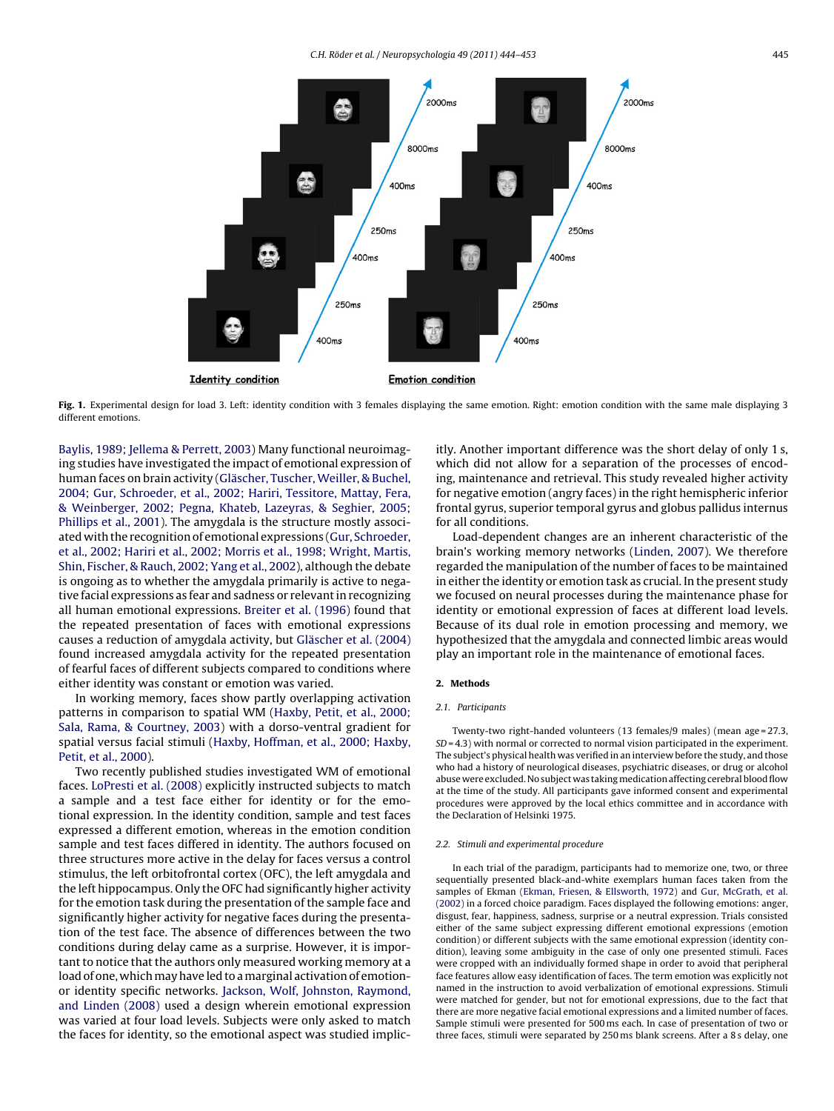

Fig. 1. Experimental design for load 3. Left: identity condition with 3 females displaying the same emotion. Right: emotion condition with the same male displaying 3 different emotions.

[Baylis, 1989; Jellema & Perrett, 2003\)](#page--1-0) Many functional neuroimaging studies have investigated the impact of emotional expression of human faces on brain activity ([Gläscher, Tuscher, Weiller, & Buchel,](#page--1-0) [2004; Gur, Schroeder, et al., 2002; Hariri, Tessitore, Mattay, Fera,](#page--1-0) [& Weinberger, 2002; Pegna, Khateb, Lazeyras, & Seghier, 2005;](#page--1-0) [Phillips et al., 2001\).](#page--1-0) The amygdala is the structure mostly associated with the recognition of emotional expressions ([Gur, Schroeder,](#page--1-0) [et al., 2002; Hariri et al., 2002; Morris et al., 1998; Wright, Martis,](#page--1-0) [Shin, Fischer, & Rauch, 2002; Yang et al., 2002\),](#page--1-0) although the debate is ongoing as to whether the amygdala primarily is active to negative facial expressions as fear and sadness or relevant in recognizing all human emotional expressions. [Breiter et al. \(1996\)](#page--1-0) found that the repeated presentation of faces with emotional expressions causes a reduction of amygdala activity, but [Gläscher et al. \(2004\)](#page--1-0) found increased amygdala activity for the repeated presentation of fearful faces of different subjects compared to conditions where either identity was constant or emotion was varied.

In working memory, faces show partly overlapping activation patterns in comparison to spatial WM ([Haxby, Petit, et al., 2000;](#page--1-0) [Sala, Rama, & Courtney, 2003\)](#page--1-0) with a dorso-ventral gradient for spatial versus facial stimuli [\(Haxby, Hoffman, et al., 2000; Haxby,](#page--1-0) [Petit, et al., 2000\).](#page--1-0)

Two recently published studies investigated WM of emotional faces. [LoPresti et al. \(2008\)](#page--1-0) explicitly instructed subjects to match a sample and a test face either for identity or for the emotional expression. In the identity condition, sample and test faces expressed a different emotion, whereas in the emotion condition sample and test faces differed in identity. The authors focused on three structures more active in the delay for faces versus a control stimulus, the left orbitofrontal cortex (OFC), the left amygdala and the left hippocampus. Only the OFC had significantly higher activity for the emotion task during the presentation of the sample face and significantly higher activity for negative faces during the presentation of the test face. The absence of differences between the two conditions during delay came as a surprise. However, it is important to notice that the authors only measured working memory at a load of one, which may have led to a marginal activation of emotionor identity specific networks. [Jackson, Wolf, Johnston, Raymond,](#page--1-0) [and Linden \(2008\)](#page--1-0) used a design wherein emotional expression was varied at four load levels. Subjects were only asked to match the faces for identity, so the emotional aspect was studied implicitly. Another important difference was the short delay of only 1 s, which did not allow for a separation of the processes of encoding, maintenance and retrieval. This study revealed higher activity for negative emotion (angry faces) in the right hemispheric inferior frontal gyrus, superior temporal gyrus and globus pallidus internus for all conditions.

Load-dependent changes are an inherent characteristic of the brain's working memory networks ([Linden, 2007\).](#page--1-0) We therefore regarded the manipulation of the number of faces to be maintained in either the identity or emotion task as crucial. In the present study we focused on neural processes during the maintenance phase for identity or emotional expression of faces at different load levels. Because of its dual role in emotion processing and memory, we hypothesized that the amygdala and connected limbic areas would play an important role in the maintenance of emotional faces.

#### **2. Methods**

#### 2.1. Participants

Twenty-two right-handed volunteers (13 females/9 males) (mean age = 27.3,  $SD = 4.3$ ) with normal or corrected to normal vision participated in the experiment. The subject's physical health was verified in an interview before the study, and those who had a history of neurological diseases, psychiatric diseases, or drug or alcohol abuse were excluded. No subject was taking medication affecting cerebral blood flow at the time of the study. All participants gave informed consent and experimental procedures were approved by the local ethics committee and in accordance with the Declaration of Helsinki 1975.

#### 2.2. Stimuli and experimental procedure

In each trial of the paradigm, participants had to memorize one, two, or three sequentially presented black-and-white exemplars human faces taken from the samples of Ekman ([Ekman, Friesen, & Ellsworth, 1972\) a](#page--1-0)nd [Gur, McGrath, et al.](#page--1-0) [\(2002\)](#page--1-0) in a forced choice paradigm. Faces displayed the following emotions: anger, disgust, fear, happiness, sadness, surprise or a neutral expression. Trials consisted either of the same subject expressing different emotional expressions (emotion condition) or different subjects with the same emotional expression (identity condition), leaving some ambiguity in the case of only one presented stimuli. Faces were cropped with an individually formed shape in order to avoid that peripheral face features allow easy identification of faces. The term emotion was explicitly not named in the instruction to avoid verbalization of emotional expressions. Stimuli were matched for gender, but not for emotional expressions, due to the fact that there are more negative facial emotional expressions and a limited number of faces. Sample stimuli were presented for 500 ms each. In case of presentation of two or three faces, stimuli were separated by 250 ms blank screens. After a 8 s delay, one